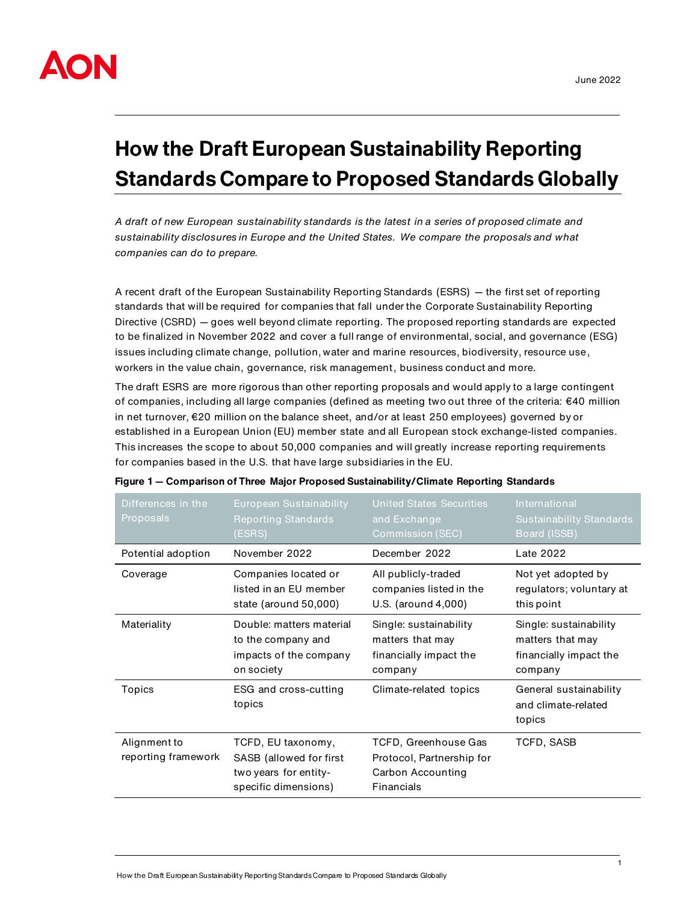

# **How the Draft European Sustainability Reporting Standards Compare to Proposed Standards Globally**

*A draft of new European sustainability standards is the latest in a series of proposed climate and sustainability disclosures in Europe and the United States. We compare the proposals and what companies can do to prepare.* 

A recent draft of the European Sustainability Reporting Standards (ESRS) — the first set of reporting standards that will be required for companies that fall under the Corporate Sustainability Reporting Directive (CSRD) — goes well beyond climate reporting. The proposed reporting standards are expected to be finalized in November 2022 and cover a full range of environmental, social, and governance (ESG) issues including climate change, pollution, water and marine resources, biodiversity, resource use, workers in the value chain, governance, risk management, business conduct and more.

The draft ESRS are more rigorous than other reporting proposals and would apply to a large contingent of companies, including all large companies (defined as meeting two out three of the criteria: €40 million in net turnover, €20 million on the balance sheet, and/or at least 250 employees) governed by or established in a European Union (EU) member state and all European stock exchange-listed companies. This increases the scope to about 50,000 companies and will greatly increase reporting requirements for companies based in the U.S. that have large subsidiaries in the EU.

| Differences in the<br>Proposals     | European Sustainability<br><b>Reporting Standards</b><br>(ESRS)                                | <b>United States Securities</b><br>and Exchange<br><b>Commission (SEC)</b>           | International<br><b>Sustainability Standards</b><br>Board (ISSB)                |  |
|-------------------------------------|------------------------------------------------------------------------------------------------|--------------------------------------------------------------------------------------|---------------------------------------------------------------------------------|--|
| Potential adoption                  | November 2022                                                                                  | December 2022                                                                        | Late 2022                                                                       |  |
| Coverage                            | Companies located or<br>listed in an EU member<br>state (around 50,000)                        | All publicly-traded<br>companies listed in the<br>U.S. (around 4,000)                | Not yet adopted by<br>regulators; voluntary at<br>this point                    |  |
| Materiality                         | Double: matters material<br>to the company and<br>impacts of the company<br>on society         | Single: sustainability<br>matters that may<br>financially impact the<br>company      | Single: sustainability<br>matters that may<br>financially impact the<br>company |  |
| Topics                              | ESG and cross-cutting<br>topics                                                                | Climate-related topics                                                               | General sustainability<br>and climate-related<br>topics                         |  |
| Alignment to<br>reporting framework | TCFD, EU taxonomy,<br>SASB (allowed for first<br>two years for entity-<br>specific dimensions) | TCFD, Greenhouse Gas<br>Protocol, Partnership for<br>Carbon Accounting<br>Financials | TCFD, SASB                                                                      |  |

|  |  |  | Figure 1 – Comparison of Three Major Proposed Sustainability/Climate Reporting Standards |  |  |
|--|--|--|------------------------------------------------------------------------------------------|--|--|
|  |  |  |                                                                                          |  |  |
|  |  |  |                                                                                          |  |  |
|  |  |  |                                                                                          |  |  |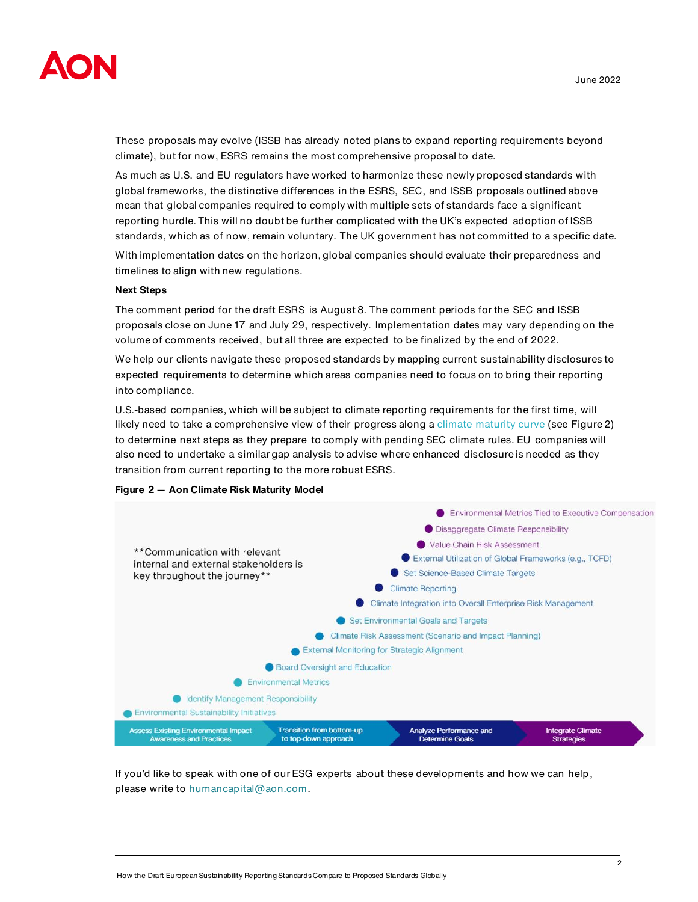

These proposals may evolve (ISSB has already noted plans to expand reporting requirements beyond climate), but for now, ESRS remains the most comprehensive proposal to date.

As much as U.S. and EU regulators have worked to harmonize these newly proposed standards with global frameworks, the distinctive differences in the ESRS, SEC, and ISSB proposals outlined above mean that global companies required to comply with multiple sets of standards face a significant reporting hurdle. This will no doubt be further complicated with the UK's expected adoption of ISSB standards, which as of now, remain voluntary. The UK government has not committed to a specific date.

With implementation dates on the horizon, global companies should evaluate their preparedness and timelines to align with new regulations.

#### **Next Steps**

The comment period for the draft ESRS is August 8. The comment periods for the SEC and ISSB proposals close on June 17 and July 29, respectively. Implementation dates may vary depending on the volume of comments received, but all three are expected to be finalized by the end of 2022.

We help our clients navigate these proposed standards by mapping current sustainability disclosures to expected requirements to determine which areas companies need to focus on to bring their reporting into compliance.

U.S.-based companies, which will be subject to climate reporting requirements for the first time, will likely need to take a comprehensive view of their progress along [a climate maturity curve](https://humancapital.aon.com/insights/articles/2022/assessing-your-companys-climate-maturity-a-three-step-strategy-to-address-new-climate-regulations-and-disclosure-standards#:~:text=Aon) (see Figure 2) to determine next steps as they prepare to comply with pending SEC climate rules. EU companies will also need to undertake a similar gap analysis to advise where enhanced disclosure is needed as they transition from current reporting to the more robust ESRS.





If you'd like to speak with one of our ESG experts about these developments and how we can help, please write to [humancapital@aon.com.](mailto:humancapital@aon.com)